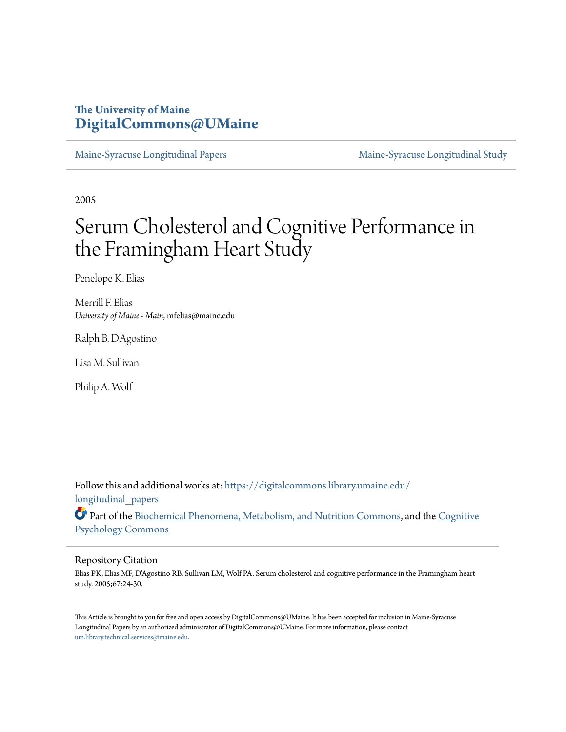# **The University of Maine [DigitalCommons@UMaine](https://digitalcommons.library.umaine.edu?utm_source=digitalcommons.library.umaine.edu%2Flongitudinal_papers%2F2&utm_medium=PDF&utm_campaign=PDFCoverPages)**

[Maine-Syracuse Longitudinal Papers](https://digitalcommons.library.umaine.edu/longitudinal_papers?utm_source=digitalcommons.library.umaine.edu%2Flongitudinal_papers%2F2&utm_medium=PDF&utm_campaign=PDFCoverPages) [Maine-Syracuse Longitudinal Study](https://digitalcommons.library.umaine.edu/longitudinal_study?utm_source=digitalcommons.library.umaine.edu%2Flongitudinal_papers%2F2&utm_medium=PDF&utm_campaign=PDFCoverPages)

2005

# Serum Cholesterol and Cognitive Performance in the Framingham Heart Study

Penelope K. Elias

Merrill F. Elias *University of Maine - Main*, mfelias@maine.edu

Ralph B. D'Agostino

Lisa M. Sullivan

Philip A. Wolf

Follow this and additional works at: [https://digitalcommons.library.umaine.edu/](https://digitalcommons.library.umaine.edu/longitudinal_papers?utm_source=digitalcommons.library.umaine.edu%2Flongitudinal_papers%2F2&utm_medium=PDF&utm_campaign=PDFCoverPages) longitudinal papers

Part of the [Biochemical Phenomena, Metabolism, and Nutrition Commons,](http://network.bepress.com/hgg/discipline/1012?utm_source=digitalcommons.library.umaine.edu%2Flongitudinal_papers%2F2&utm_medium=PDF&utm_campaign=PDFCoverPages) and the [Cognitive](http://network.bepress.com/hgg/discipline/408?utm_source=digitalcommons.library.umaine.edu%2Flongitudinal_papers%2F2&utm_medium=PDF&utm_campaign=PDFCoverPages) [Psychology Commons](http://network.bepress.com/hgg/discipline/408?utm_source=digitalcommons.library.umaine.edu%2Flongitudinal_papers%2F2&utm_medium=PDF&utm_campaign=PDFCoverPages)

#### Repository Citation

Elias PK, Elias MF, D'Agostino RB, Sullivan LM, Wolf PA. Serum cholesterol and cognitive performance in the Framingham heart study. 2005;67:24-30.

This Article is brought to you for free and open access by DigitalCommons@UMaine. It has been accepted for inclusion in Maine-Syracuse Longitudinal Papers by an authorized administrator of DigitalCommons@UMaine. For more information, please contact [um.library.technical.services@maine.edu](mailto:um.library.technical.services@maine.edu).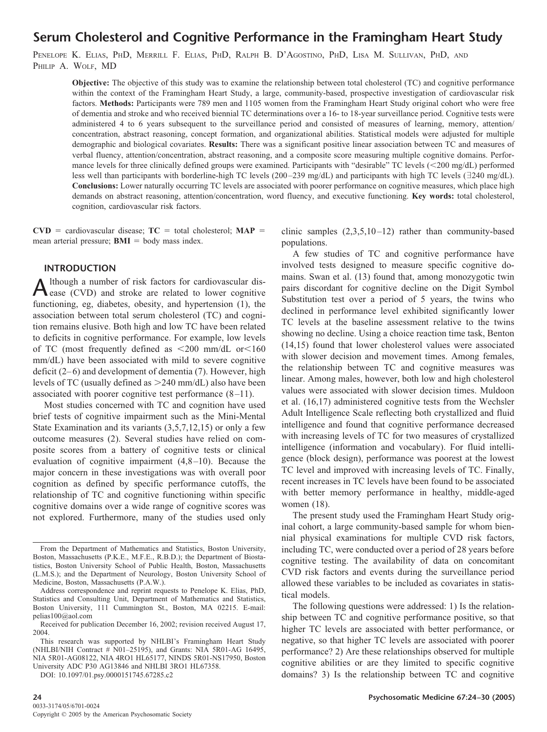# **Serum Cholesterol and Cognitive Performance in the Framingham Heart Study**

PENELOPE K. ELIAS, PHD, MERRILL F. ELIAS, PHD, RALPH B. D'AGOSTINO, PHD, LISA M. SULLIVAN, PHD, AND PHILIP A. WOLF, MD

**Objective:** The objective of this study was to examine the relationship between total cholesterol (TC) and cognitive performance within the context of the Framingham Heart Study, a large, community-based, prospective investigation of cardiovascular risk factors. **Methods:** Participants were 789 men and 1105 women from the Framingham Heart Study original cohort who were free of dementia and stroke and who received biennial TC determinations over a 16- to 18-year surveillance period. Cognitive tests were administered 4 to 6 years subsequent to the surveillance period and consisted of measures of learning, memory, attention/ concentration, abstract reasoning, concept formation, and organizational abilities. Statistical models were adjusted for multiple demographic and biological covariates. **Results:** There was a significant positive linear association between TC and measures of verbal fluency, attention/concentration, abstract reasoning, and a composite score measuring multiple cognitive domains. Performance levels for three clinically defined groups were examined. Participants with "desirable" TC levels (<200 mg/dL) performed less well than participants with borderline-high TC levels (200–239 mg/dL) and participants with high TC levels ( $\exists$ 240 mg/dL). **Conclusions:** Lower naturally occurring TC levels are associated with poorer performance on cognitive measures, which place high demands on abstract reasoning, attention/concentration, word fluency, and executive functioning. **Key words:** total cholesterol, cognition, cardiovascular risk factors.

 $CVD$  = cardiovascular disease;  $TC$  = total cholesterol;  $MAP$  = mean arterial pressure;  $\text{BMI} = \text{body}$  mass index.

# **INTRODUCTION**

A lthough a number of risk factors for cardiovascular dis-<br>ease (CVD) and stroke are related to lower cognitive functioning, eg, diabetes, obesity, and hypertension (1), the association between total serum cholesterol (TC) and cognition remains elusive. Both high and low TC have been related to deficits in cognitive performance. For example, low levels of TC (most frequently defined as  $\leq 200$  mm/dL or $\leq 160$ mm/dL) have been associated with mild to severe cognitive deficit  $(2-6)$  and development of dementia  $(7)$ . However, high levels of TC (usually defined as  $>240$  mm/dL) also have been associated with poorer cognitive test performance  $(8-11)$ .

Most studies concerned with TC and cognition have used brief tests of cognitive impairment such as the Mini-Mental State Examination and its variants (3,5,7,12,15) or only a few outcome measures (2). Several studies have relied on composite scores from a battery of cognitive tests or clinical evaluation of cognitive impairment  $(4,8-10)$ . Because the major concern in these investigations was with overall poor cognition as defined by specific performance cutoffs, the relationship of TC and cognitive functioning within specific cognitive domains over a wide range of cognitive scores was not explored. Furthermore, many of the studies used only

DOI: 10.1097/01.psy.0000151745.67285.c2

clinic samples  $(2,3,5,10-12)$  rather than community-based populations.

A few studies of TC and cognitive performance have involved tests designed to measure specific cognitive domains. Swan et al. (13) found that, among monozygotic twin pairs discordant for cognitive decline on the Digit Symbol Substitution test over a period of 5 years, the twins who declined in performance level exhibited significantly lower TC levels at the baseline assessment relative to the twins showing no decline. Using a choice reaction time task, Benton (14,15) found that lower cholesterol values were associated with slower decision and movement times. Among females, the relationship between TC and cognitive measures was linear. Among males, however, both low and high cholesterol values were associated with slower decision times. Muldoon et al. (16,17) administered cognitive tests from the Wechsler Adult Intelligence Scale reflecting both crystallized and fluid intelligence and found that cognitive performance decreased with increasing levels of TC for two measures of crystallized intelligence (information and vocabulary). For fluid intelligence (block design), performance was poorest at the lowest TC level and improved with increasing levels of TC. Finally, recent increases in TC levels have been found to be associated with better memory performance in healthy, middle-aged women (18).

The present study used the Framingham Heart Study original cohort, a large community-based sample for whom biennial physical examinations for multiple CVD risk factors, including TC, were conducted over a period of 28 years before cognitive testing. The availability of data on concomitant CVD risk factors and events during the surveillance period allowed these variables to be included as covariates in statistical models.

The following questions were addressed: 1) Is the relationship between TC and cognitive performance positive, so that higher TC levels are associated with better performance, or negative, so that higher TC levels are associated with poorer performance? 2) Are these relationships observed for multiple cognitive abilities or are they limited to specific cognitive domains? 3) Is the relationship between TC and cognitive

From the Department of Mathematics and Statistics, Boston University, Boston, Massachusetts (P.K.E., M.F.E., R.B.D.); the Department of Biostatistics, Boston University School of Public Health, Boston, Massachusetts (L.M.S.); and the Department of Neurology, Boston University School of Medicine, Boston, Massachusetts (P.A.W.).

Address correspondence and reprint requests to Penelope K. Elias, PhD, Statistics and Consulting Unit, Department of Mathematics and Statistics, Boston University, 111 Cummington St., Boston, MA 02215. E-mail: pelias100@aol.com

Received for publication December 16, 2002; revision received August 17, 2004.

This research was supported by NHLBI's Framingham Heart Study (NHLBI/NIH Contract # N01–25195), and Grants: NIA 5R01-AG 16495, NIA 5R01-AG08122, NIA 4RO1 HL65177, NINDS 5R01-NS17950, Boston University ADC P30 AG13846 and NHLBI 3RO1 HL67358.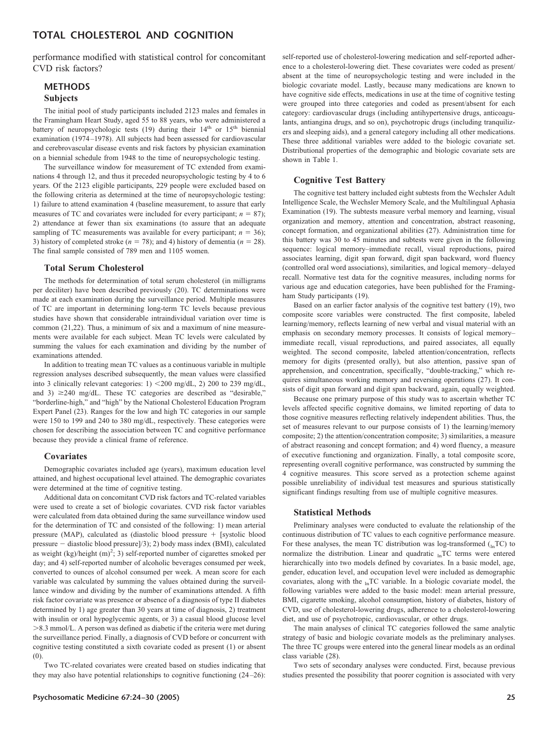# **TOTAL CHOLESTEROL AND COGNITION**

performance modified with statistical control for concomitant CVD risk factors?

# **METHODS Subjects**

The initial pool of study participants included 2123 males and females in the Framingham Heart Study, aged 55 to 88 years, who were administered a battery of neuropsychologic tests  $(19)$  during their  $14<sup>th</sup>$  or  $15<sup>th</sup>$  biennial examination (1974 –1978). All subjects had been assessed for cardiovascular and cerebrovascular disease events and risk factors by physician examination on a biennial schedule from 1948 to the time of neuropsychologic testing.

The surveillance window for measurement of TC extended from examinations 4 through 12, and thus it preceded neuropsychologic testing by 4 to 6 years. Of the 2123 eligible participants, 229 people were excluded based on the following criteria as determined at the time of neuropsychologic testing: 1) failure to attend examination 4 (baseline measurement, to assure that early measures of TC and covariates were included for every participant;  $n = 87$ ); 2) attendance at fewer than six examinations (to assure that an adequate sampling of TC measurements was available for every participant;  $n = 36$ ); 3) history of completed stroke  $(n = 78)$ ; and 4) history of dementia  $(n = 28)$ . The final sample consisted of 789 men and 1105 women.

#### **Total Serum Cholesterol**

The methods for determination of total serum cholesterol (in milligrams per deciliter) have been described previously (20). TC determinations were made at each examination during the surveillance period. Multiple measures of TC are important in determining long-term TC levels because previous studies have shown that considerable intraindividual variation over time is common (21,22). Thus, a minimum of six and a maximum of nine measurements were available for each subject. Mean TC levels were calculated by summing the values for each examination and dividing by the number of examinations attended.

In addition to treating mean TC values as a continuous variable in multiple regression analyses described subsequently, the mean values were classified into 3 clinically relevant categories: 1) 200 mg/dL, 2) 200 to 239 mg/dL, and 3)  $\geq$ 240 mg/dL. These TC categories are described as "desirable," "borderline-high," and "high" by the National Cholesterol Education Program Expert Panel (23). Ranges for the low and high TC categories in our sample were 150 to 199 and 240 to 380 mg/dL, respectively. These categories were chosen for describing the association between TC and cognitive performance because they provide a clinical frame of reference.

#### **Covariates**

Demographic covariates included age (years), maximum education level attained, and highest occupational level attained. The demographic covariates were determined at the time of cognitive testing.

Additional data on concomitant CVD risk factors and TC-related variables were used to create a set of biologic covariates. CVD risk factor variables were calculated from data obtained during the same surveillance window used for the determination of TC and consisted of the following: 1) mean arterial pressure (MAP), calculated as (diastolic blood pressure  $+$  [systolic blood pressure  $-$  diastolic blood pressure $(3)$ ; 2) body mass index (BMI), calculated as weight  $(kg)/height (m)<sup>2</sup>; 3)$  self-reported number of cigarettes smoked per day; and 4) self-reported number of alcoholic beverages consumed per week, converted to ounces of alcohol consumed per week. A mean score for each variable was calculated by summing the values obtained during the surveillance window and dividing by the number of examinations attended. A fifth risk factor covariate was presence or absence of a diagnosis of type II diabetes determined by 1) age greater than 30 years at time of diagnosis, 2) treatment with insulin or oral hypoglycemic agents, or 3) a casual blood glucose level 8.3 mmol/L. A person was defined as diabetic if the criteria were met during the surveillance period. Finally, a diagnosis of CVD before or concurrent with cognitive testing constituted a sixth covariate coded as present (1) or absent (0).

Two TC-related covariates were created based on studies indicating that they may also have potential relationships to cognitive functioning  $(24-26)$ :

self-reported use of cholesterol-lowering medication and self-reported adherence to a cholesterol-lowering diet. These covariates were coded as present/ absent at the time of neuropsychologic testing and were included in the biologic covariate model. Lastly, because many medications are known to have cognitive side effects, medications in use at the time of cognitive testing were grouped into three categories and coded as present/absent for each category: cardiovascular drugs (including antihypertensive drugs, anticoagulants, antiangina drugs, and so on), psychotropic drugs (including tranquilizers and sleeping aids), and a general category including all other medications. These three additional variables were added to the biologic covariate set. Distributional properties of the demographic and biologic covariate sets are shown in Table 1.

#### **Cognitive Test Battery**

The cognitive test battery included eight subtests from the Wechsler Adult Intelligence Scale, the Wechsler Memory Scale, and the Multilingual Aphasia Examination (19). The subtests measure verbal memory and learning, visual organization and memory, attention and concentration, abstract reasoning, concept formation, and organizational abilities (27). Administration time for this battery was 30 to 45 minutes and subtests were given in the following sequence: logical memory–immediate recall, visual reproductions, paired associates learning, digit span forward, digit span backward, word fluency (controlled oral word associations), similarities, and logical memory– delayed recall. Normative test data for the cognitive measures, including norms for various age and education categories, have been published for the Framingham Study participants (19).

Based on an earlier factor analysis of the cognitive test battery (19), two composite score variables were constructed. The first composite, labeled learning/memory, reflects learning of new verbal and visual material with an emphasis on secondary memory processes. It consists of logical memory– immediate recall, visual reproductions, and paired associates, all equally weighted. The second composite, labeled attention/concentration, reflects memory for digits (presented orally), but also attention, passive span of apprehension, and concentration, specifically, "double-tracking," which requires simultaneous working memory and reversing operations (27). It consists of digit span forward and digit span backward, again, equally weighted.

Because one primary purpose of this study was to ascertain whether TC levels affected specific cognitive domains, we limited reporting of data to those cognitive measures reflecting relatively independent abilities. Thus, the set of measures relevant to our purpose consists of 1) the learning/memory composite; 2) the attention/concentration composite; 3) similarities, a measure of abstract reasoning and concept formation; and 4) word fluency, a measure of executive functioning and organization. Finally, a total composite score, representing overall cognitive performance, was constructed by summing the 4 cognitive measures. This score served as a protection scheme against possible unreliability of individual test measures and spurious statistically significant findings resulting from use of multiple cognitive measures.

#### **Statistical Methods**

Preliminary analyses were conducted to evaluate the relationship of the continuous distribution of TC values to each cognitive performance measure. For these analyses, the mean TC distribution was log-transformed  $\binom{n}{n}$  to normalize the distribution. Linear and quadratic  $_{ln}TC$  terms were entered hierarchically into two models defined by covariates. In a basic model, age, gender, education level, and occupation level were included as demographic covariates, along with the  $_{\ln}TC$  variable. In a biologic covariate model, the following variables were added to the basic model: mean arterial pressure, BMI, cigarette smoking, alcohol consumption, history of diabetes, history of CVD, use of cholesterol-lowering drugs, adherence to a cholesterol-lowering diet, and use of psychotropic, cardiovascular, or other drugs.

The main analyses of clinical TC categories followed the same analytic strategy of basic and biologic covariate models as the preliminary analyses. The three TC groups were entered into the general linear models as an ordinal class variable (28).

Two sets of secondary analyses were conducted. First, because previous studies presented the possibility that poorer cognition is associated with very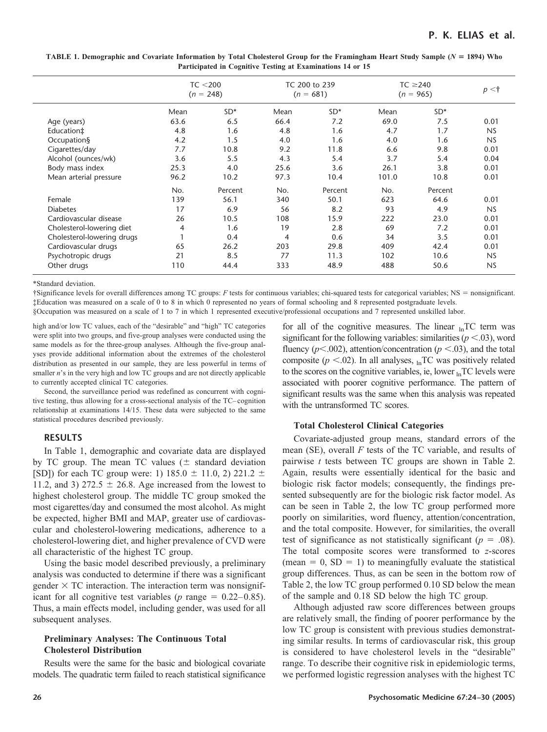| TABLE 1. Demographic and Covariate Information by Total Cholesterol Group for the Framingham Heart Study Sample ( $N = 1894$ ) Who |
|------------------------------------------------------------------------------------------------------------------------------------|
| Participated in Cognitive Testing at Examinations 14 or 15                                                                         |

|                            | TC < 200<br>$(n = 248)$ |         |      | TC 200 to 239<br>$(n = 681)$ | $TC \geq 240$<br>$(n = 965)$ |         | p < t     |
|----------------------------|-------------------------|---------|------|------------------------------|------------------------------|---------|-----------|
|                            | Mean                    | $SD*$   | Mean | $SD*$                        | Mean                         | $SD*$   |           |
| Age (years)                | 63.6                    | 6.5     | 66.4 | 7.2                          | 69.0                         | 7.5     | 0.01      |
| Education‡                 | 4.8                     | 1.6     | 4.8  | 1.6                          | 4.7                          | 1.7     | <b>NS</b> |
| Occupation§                | 4.2                     | 1.5     | 4.0  | 1.6                          | 4.0                          | 1.6     | <b>NS</b> |
| Cigarettes/day             | 7.7                     | 10.8    | 9.2  | 11.8                         | 6.6                          | 9.8     | 0.01      |
| Alcohol (ounces/wk)        | 3.6                     | 5.5     | 4.3  | 5.4                          | 3.7                          | 5.4     | 0.04      |
| Body mass index            | 25.3                    | 4.0     | 25.6 | 3.6                          | 26.1                         | 3.8     | 0.01      |
| Mean arterial pressure     | 96.2                    | 10.2    | 97.3 | 10.4                         | 101.0                        | 10.8    | 0.01      |
|                            | No.                     | Percent | No.  | Percent                      | No.                          | Percent |           |
| Female                     | 139                     | 56.1    | 340  | 50.1                         | 623                          | 64.6    | 0.01      |
| <b>Diabetes</b>            | 17                      | 6.9     | 56   | 8.2                          | 93                           | 4.9     | <b>NS</b> |
| Cardiovascular disease     | 26                      | 10.5    | 108  | 15.9                         | 222                          | 23.0    | 0.01      |
| Cholesterol-lowering diet  | 4                       | 1.6     | 19   | 2.8                          | 69                           | 7.2     | 0.01      |
| Cholesterol-lowering drugs |                         | 0.4     | 4    | 0.6                          | 34                           | 3.5     | 0.01      |
| Cardiovascular drugs       | 65                      | 26.2    | 203  | 29.8                         | 409                          | 42.4    | 0.01      |
| Psychotropic drugs         | 21                      | 8.5     | 77   | 11.3                         | 102                          | 10.6    | <b>NS</b> |
| Other drugs                | 110                     | 44.4    | 333  | 48.9                         | 488                          | 50.6    | <b>NS</b> |

\*Standard deviation.

†Significance levels for overall differences among TC groups: *F* tests for continuous variables; chi-squared tests for categorical variables; NS - nonsignificant. ‡Education was measured on a scale of 0 to 8 in which 0 represented no years of formal schooling and 8 represented postgraduate levels. §Occupation was measured on a scale of 1 to 7 in which 1 represented executive/professional occupations and 7 represented unskilled labor.

high and/or low TC values, each of the "desirable" and "high" TC categories were split into two groups, and five-group analyses were conducted using the same models as for the three-group analyses. Although the five-group analyses provide additional information about the extremes of the cholesterol distribution as presented in our sample, they are less powerful in terms of smaller *n*'s in the very high and low TC groups and are not directly applicable to currently accepted clinical TC categories.

Second, the surveillance period was redefined as concurrent with cognitive testing, thus allowing for a cross-sectional analysis of the TC– cognition relationship at examinations 14/15. These data were subjected to the same statistical procedures described previously.

# **RESULTS**

In Table 1, demographic and covariate data are displayed by TC group. The mean TC values  $(\pm$  standard deviation [SD]) for each TC group were: 1)  $185.0 \pm 11.0, 2$ ) 221.2  $\pm$ 11.2, and 3) 272.5  $\pm$  26.8. Age increased from the lowest to highest cholesterol group. The middle TC group smoked the most cigarettes/day and consumed the most alcohol. As might be expected, higher BMI and MAP, greater use of cardiovascular and cholesterol-lowering medications, adherence to a cholesterol-lowering diet, and higher prevalence of CVD were all characteristic of the highest TC group.

Using the basic model described previously, a preliminary analysis was conducted to determine if there was a significant gender  $\times$  TC interaction. The interaction term was nonsignificant for all cognitive test variables ( $p$  range =  $0.22-0.85$ ). Thus, a main effects model, including gender, was used for all subsequent analyses.

# **Preliminary Analyses: The Continuous Total Cholesterol Distribution**

Results were the same for the basic and biological covariate models. The quadratic term failed to reach statistical significance

for all of the cognitive measures. The linear  $_{\text{ln}}TC$  term was significant for the following variables: similarities  $(p < .03)$ , word fluency ( $p$ <.002), attention/concentration ( $p$  <.03), and the total composite ( $p$  <.02). In all analyses,  $_{\text{ln}}TC$  was positively related to the scores on the cognitive variables, ie, lower  $_{ln}TC$  levels were associated with poorer cognitive performance. The pattern of significant results was the same when this analysis was repeated with the untransformed TC scores.

# **Total Cholesterol Clinical Categories**

Covariate-adjusted group means, standard errors of the mean (SE), overall *F* tests of the TC variable, and results of pairwise *t* tests between TC groups are shown in Table 2. Again, results were essentially identical for the basic and biologic risk factor models; consequently, the findings presented subsequently are for the biologic risk factor model. As can be seen in Table 2, the low TC group performed more poorly on similarities, word fluency, attention/concentration, and the total composite. However, for similarities, the overall test of significance as not statistically significant  $(p = .08)$ . The total composite scores were transformed to *z*-scores  $(\text{mean} = 0, SD = 1)$  to meaningfully evaluate the statistical group differences. Thus, as can be seen in the bottom row of Table 2, the low TC group performed 0.10 SD below the mean of the sample and 0.18 SD below the high TC group.

Although adjusted raw score differences between groups are relatively small, the finding of poorer performance by the low TC group is consistent with previous studies demonstrating similar results. In terms of cardiovascular risk, this group is considered to have cholesterol levels in the "desirable" range. To describe their cognitive risk in epidemiologic terms, we performed logistic regression analyses with the highest TC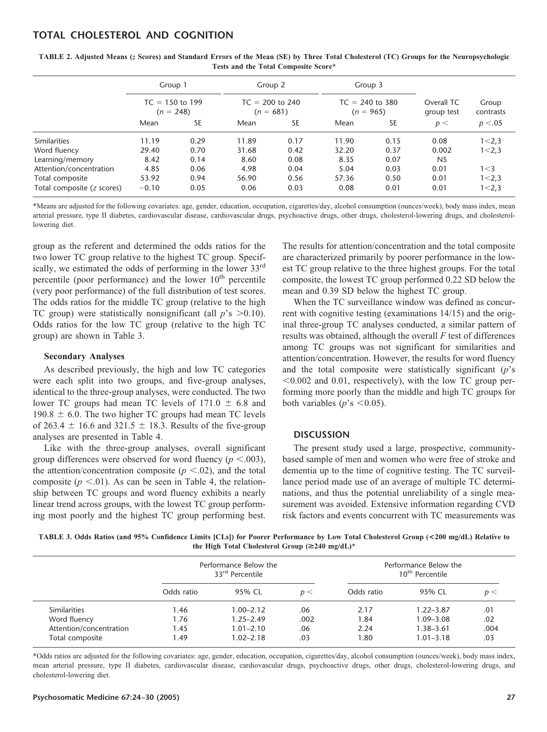# **TOTAL CHOLESTEROL AND COGNITION**

|                            | Group 1<br>$TC = 150$ to 199<br>$(n = 248)$ |           | Group 2<br>$TC = 200$ to 240<br>$(n = 681)$ |           | Group 3<br>$TC = 240$ to 380<br>$(n = 965)$ |           | Overall TC<br>group test | Group<br>contrasts |  |  |
|----------------------------|---------------------------------------------|-----------|---------------------------------------------|-----------|---------------------------------------------|-----------|--------------------------|--------------------|--|--|
|                            |                                             |           |                                             |           |                                             |           |                          |                    |  |  |
|                            | Mean                                        | <b>SE</b> | Mean                                        | <b>SE</b> | Mean                                        | <b>SE</b> | p<                       | p < 0.05           |  |  |
| <b>Similarities</b>        | 11.19                                       | 0.29      | 11.89                                       | 0.17      | 11.90                                       | 0.15      | 0.08                     | 1 < 2,3            |  |  |
| Word fluency               | 29.40                                       | 0.70      | 31.68                                       | 0.42      | 32.20                                       | 0.37      | 0.002                    | 1 < 2,3            |  |  |
| Learning/memory            | 8.42                                        | 0.14      | 8.60                                        | 0.08      | 8.35                                        | 0.07      | <b>NS</b>                |                    |  |  |
| Attention/concentration    | 4.85                                        | 0.06      | 4.98                                        | 0.04      | 5.04                                        | 0.03      | 0.01                     | 1 < 3              |  |  |
| Total composite            | 53.92                                       | 0.94      | 56.90                                       | 0.56      | 57.36                                       | 0.50      | 0.01                     | 1 < 2,3            |  |  |
| Total composite (z scores) | $-0.10$                                     | 0.05      | 0.06                                        | 0.03      | 0.08                                        | 0.01      | 0.01                     | 1 < 2,3            |  |  |

**TABLE 2. Adjusted Means (***z* **Scores) and Standard Errors of the Mean (SE) by Three Total Cholesterol (TC) Groups for the Neuropsychologic Tests and the Total Composite Score\***

\*Means are adjusted for the following covariates: age, gender, education, occupation, cigarettes/day, alcohol consumption (ounces/week), body mass index, mean arterial pressure, type II diabetes, cardiovascular disease, cardiovascular drugs, psychoactive drugs, other drugs, cholesterol-lowering drugs, and cholesterollowering diet.

group as the referent and determined the odds ratios for the two lower TC group relative to the highest TC group. Specifically, we estimated the odds of performing in the lower 33<sup>rd</sup> percentile (poor performance) and the lower  $10<sup>th</sup>$  percentile (very poor performance) of the full distribution of test scores. The odds ratios for the middle TC group (relative to the high TC group) were statistically nonsignificant (all  $p$ 's  $> 0.10$ ). Odds ratios for the low TC group (relative to the high TC group) are shown in Table 3.

### **Secondary Analyses**

As described previously, the high and low TC categories were each split into two groups, and five-group analyses, identical to the three-group analyses, were conducted. The two lower TC groups had mean TC levels of  $171.0 \pm 6.8$  and  $190.8 \pm 6.0$ . The two higher TC groups had mean TC levels of 263.4  $\pm$  16.6 and 321.5  $\pm$  18.3. Results of the five-group analyses are presented in Table 4.

Like with the three-group analyses, overall significant group differences were observed for word fluency ( $p < .003$ ), the attention/concentration composite  $(p \lt 0.02)$ , and the total composite  $(p \le 0.01)$ . As can be seen in Table 4, the relationship between TC groups and word fluency exhibits a nearly linear trend across groups, with the lowest TC group performing most poorly and the highest TC group performing best.

The results for attention/concentration and the total composite are characterized primarily by poorer performance in the lowest TC group relative to the three highest groups. For the total composite, the lowest TC group performed 0.22 SD below the mean and 0.39 SD below the highest TC group.

When the TC surveillance window was defined as concurrent with cognitive testing (examinations 14/15) and the original three-group TC analyses conducted, a similar pattern of results was obtained, although the overall *F* test of differences among TC groups was not significant for similarities and attention/concentration. However, the results for word fluency and the total composite were statistically significant (*p*'s  $0.002$  and 0.01, respectively), with the low TC group performing more poorly than the middle and high TC groups for both variables ( $p$ 's < 0.05).

#### **DISCUSSION**

The present study used a large, prospective, communitybased sample of men and women who were free of stroke and dementia up to the time of cognitive testing. The TC surveillance period made use of an average of multiple TC determinations, and thus the potential unreliability of a single measurement was avoided. Extensive information regarding CVD risk factors and events concurrent with TC measurements was

**TABLE 3. Odds Ratios (and 95% Confidence Limits [CLs]) for Poorer Performance by Low Total Cholesterol Group (<200 mg/dL) Relative to** the High Total Cholesterol Group  $(\geq 240 \text{ mg/dL})^*$ 

|                         |            | Performance Below the<br>33 <sup>rd</sup> Percentile |      | Performance Below the<br>10 <sup>th</sup> Percentile |               |      |  |
|-------------------------|------------|------------------------------------------------------|------|------------------------------------------------------|---------------|------|--|
|                         | Odds ratio | 95% CL                                               | p <  | Odds ratio                                           | 95% CL        | p <  |  |
| <b>Similarities</b>     | 1.46       | $1.00 - 2.12$                                        | .06  | 2.17                                                 | $1.22 - 3.87$ | .01  |  |
| Word fluency            | 1.76       | $1.25 - 2.49$                                        | .002 | 1.84                                                 | $1.09 - 3.08$ | .02  |  |
| Attention/concentration | 1.45       | $1.01 - 2.10$                                        | .06  | 2.24                                                 | $1.38 - 3.61$ | .004 |  |
| Total composite         | 1.49       | $1.02 - 2.18$                                        | .03  | 1.80                                                 | $1.01 - 3.18$ | .03  |  |

\*Odds ratios are adjusted for the following covariates: age, gender, education, occupation, cigarettes/day, alcohol consumption (ounces/week), body mass index, mean arterial pressure, type II diabetes, cardiovascular disease, cardiovascular drugs, psychoactive drugs, other drugs, cholesterol-lowering drugs, and cholesterol-lowering diet.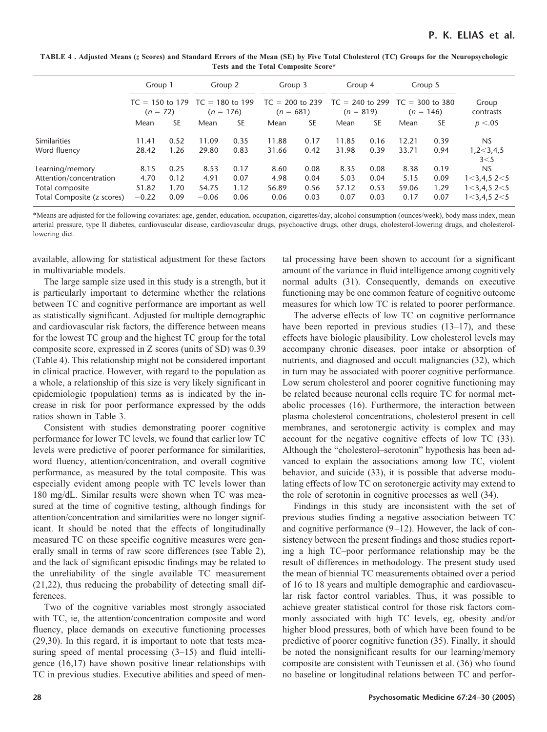**TABLE 4 . Adjusted Means (***z* **Scores) and Standard Errors of the Mean (SE) by Five Total Cholesterol (TC) Groups for the Neuropsychologic Tests and the Total Composite Score\***

|                                                                                             | Group 1                          |                              | Group 2                                               |                              | Group 3                          |                              | Group 4                          |                              |                                  | Group 5                      |                                                                                |  |
|---------------------------------------------------------------------------------------------|----------------------------------|------------------------------|-------------------------------------------------------|------------------------------|----------------------------------|------------------------------|----------------------------------|------------------------------|----------------------------------|------------------------------|--------------------------------------------------------------------------------|--|
|                                                                                             | $(n = 72)$                       |                              | $TC = 150$ to 179 $TC = 180$ to 199<br>176)<br>$(n =$ |                              | $TC = 200$ to 239<br>$(n = 681)$ |                              | $TC = 240$ to 299<br>$(n = 819)$ |                              | $TC = 300$ to 380<br>$(n = 146)$ |                              | Group<br>contrasts                                                             |  |
|                                                                                             | Mean                             | <b>SE</b>                    | Mean                                                  | <b>SE</b>                    | Mean                             | <b>SE</b>                    | Mean                             | <b>SE</b>                    | Mean                             | <b>SE</b>                    | p < 0.05                                                                       |  |
| <b>Similarities</b><br>Word fluency                                                         | 11.41<br>28.42                   | 0.52<br>1.26                 | 11.09<br>29.80                                        | 0.35<br>0.83                 | 11.88<br>31.66                   | 0.17<br>0.42                 | 11.85<br>31.98                   | 0.16<br>0.39                 | 12.21<br>33.71                   | 0.39<br>0.94                 | <b>NS</b><br>1,2<3,4,5<br>$3<$ 5                                               |  |
| Learning/memory<br>Attention/concentration<br>Total composite<br>Total Composite (z scores) | 8.15<br>4.70<br>51.82<br>$-0.22$ | 0.25<br>0.12<br>1.70<br>0.09 | 8.53<br>4.91<br>54.75<br>$-0.06$                      | 0.17<br>0.07<br>1.12<br>0.06 | 8.60<br>4.98<br>56.89<br>0.06    | 0.08<br>0.04<br>0.56<br>0.03 | 8.35<br>5.03<br>57.12<br>0.07    | 0.08<br>0.04<br>0.53<br>0.03 | 8.38<br>5.15<br>59.06<br>0.17    | 0.19<br>0.09<br>1.29<br>0.07 | <b>NS</b><br>$1 < 3,4,5$ 2 $< 5$<br>$1 < 3,4,5$ 2 $< 5$<br>$1 < 3,4,5$ 2 $< 5$ |  |

\*Means are adjusted for the following covariates: age, gender, education, occupation, cigarettes/day, alcohol consumption (ounces/week), body mass index, mean arterial pressure, type II diabetes, cardiovascular disease, cardiovascular drugs, psychoactive drugs, other drugs, cholesterol-lowering drugs, and cholesterollowering diet.

available, allowing for statistical adjustment for these factors in multivariable models.

The large sample size used in this study is a strength, but it is particularly important to determine whether the relations between TC and cognitive performance are important as well as statistically significant. Adjusted for multiple demographic and cardiovascular risk factors, the difference between means for the lowest TC group and the highest TC group for the total composite score, expressed in Z scores (units of SD) was 0.39 (Table 4). This relationship might not be considered important in clinical practice. However, with regard to the population as a whole, a relationship of this size is very likely significant in epidemiologic (population) terms as is indicated by the increase in risk for poor performance expressed by the odds ratios shown in Table 3.

Consistent with studies demonstrating poorer cognitive performance for lower TC levels, we found that earlier low TC levels were predictive of poorer performance for similarities, word fluency, attention/concentration, and overall cognitive performance, as measured by the total composite. This was especially evident among people with TC levels lower than 180 mg/dL. Similar results were shown when TC was measured at the time of cognitive testing, although findings for attention/concentration and similarities were no longer significant. It should be noted that the effects of longitudinally measured TC on these specific cognitive measures were generally small in terms of raw score differences (see Table 2), and the lack of significant episodic findings may be related to the unreliability of the single available TC measurement (21,22), thus reducing the probability of detecting small differences.

Two of the cognitive variables most strongly associated with TC, ie, the attention/concentration composite and word fluency, place demands on executive functioning processes (29,30). In this regard, it is important to note that tests measuring speed of mental processing  $(3-15)$  and fluid intelligence (16,17) have shown positive linear relationships with TC in previous studies. Executive abilities and speed of mental processing have been shown to account for a significant amount of the variance in fluid intelligence among cognitively normal adults (31). Consequently, demands on executive functioning may be one common feature of cognitive outcome measures for which low TC is related to poorer performance.

The adverse effects of low TC on cognitive performance have been reported in previous studies (13–17), and these effects have biologic plausibility. Low cholesterol levels may accompany chronic diseases, poor intake or absorption of nutrients, and diagnosed and occult malignancies (32), which in turn may be associated with poorer cognitive performance. Low serum cholesterol and poorer cognitive functioning may be related because neuronal cells require TC for normal metabolic processes (16). Furthermore, the interaction between plasma cholesterol concentrations, cholesterol present in cell membranes, and serotonergic activity is complex and may account for the negative cognitive effects of low TC (33). Although the "cholesterol–serotonin" hypothesis has been advanced to explain the associations among low TC, violent behavior, and suicide (33), it is possible that adverse modulating effects of low TC on serotonergic activity may extend to the role of serotonin in cognitive processes as well (34).

Findings in this study are inconsistent with the set of previous studies finding a negative association between TC and cognitive performance  $(9-12)$ . However, the lack of consistency between the present findings and those studies reporting a high TC–poor performance relationship may be the result of differences in methodology. The present study used the mean of biennial TC measurements obtained over a period of 16 to 18 years and multiple demographic and cardiovascular risk factor control variables. Thus, it was possible to achieve greater statistical control for those risk factors commonly associated with high TC levels, eg, obesity and/or higher blood pressures, both of which have been found to be predictive of poorer cognitive function (35). Finally, it should be noted the nonsignificant results for our learning/memory composite are consistent with Teunissen et al. (36) who found no baseline or longitudinal relations between TC and perfor-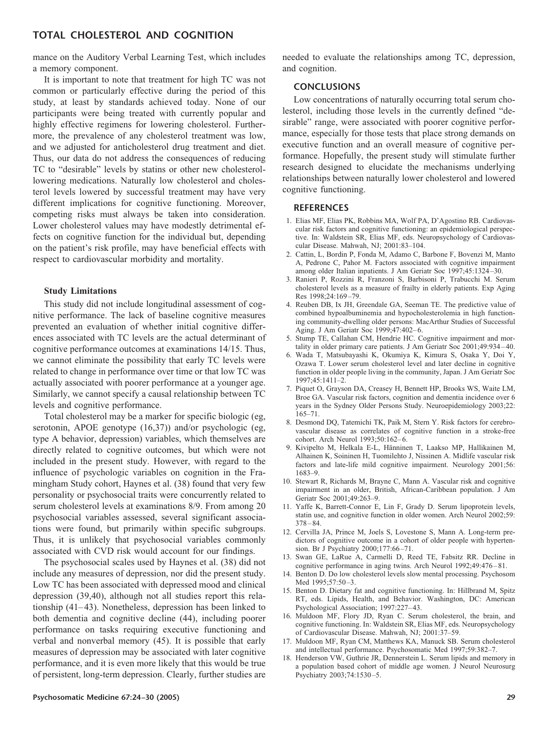# **TOTAL CHOLESTEROL AND COGNITION**

mance on the Auditory Verbal Learning Test, which includes a memory component.

It is important to note that treatment for high TC was not common or particularly effective during the period of this study, at least by standards achieved today. None of our participants were being treated with currently popular and highly effective regimens for lowering cholesterol. Furthermore, the prevalence of any cholesterol treatment was low, and we adjusted for anticholesterol drug treatment and diet. Thus, our data do not address the consequences of reducing TC to "desirable" levels by statins or other new cholesterollowering medications. Naturally low cholesterol and cholesterol levels lowered by successful treatment may have very different implications for cognitive functioning. Moreover, competing risks must always be taken into consideration. Lower cholesterol values may have modestly detrimental effects on cognitive function for the individual but, depending on the patient's risk profile, may have beneficial effects with respect to cardiovascular morbidity and mortality.

#### **Study Limitations**

This study did not include longitudinal assessment of cognitive performance. The lack of baseline cognitive measures prevented an evaluation of whether initial cognitive differences associated with TC levels are the actual determinant of cognitive performance outcomes at examinations 14/15. Thus, we cannot eliminate the possibility that early TC levels were related to change in performance over time or that low TC was actually associated with poorer performance at a younger age. Similarly, we cannot specify a causal relationship between TC levels and cognitive performance.

Total cholesterol may be a marker for specific biologic (eg, serotonin, APOE genotype (16,37)) and/or psychologic (eg, type A behavior, depression) variables, which themselves are directly related to cognitive outcomes, but which were not included in the present study. However, with regard to the influence of psychologic variables on cognition in the Framingham Study cohort, Haynes et al. (38) found that very few personality or psychosocial traits were concurrently related to serum cholesterol levels at examinations 8/9. From among 20 psychosocial variables assessed, several significant associations were found, but primarily within specific subgroups. Thus, it is unlikely that psychosocial variables commonly associated with CVD risk would account for our findings.

The psychosocial scales used by Haynes et al. (38) did not include any measures of depression, nor did the present study. Low TC has been associated with depressed mood and clinical depression (39,40), although not all studies report this relationship  $(41-43)$ . Nonetheless, depression has been linked to both dementia and cognitive decline (44), including poorer performance on tasks requiring executive functioning and verbal and nonverbal memory (45). It is possible that early measures of depression may be associated with later cognitive performance, and it is even more likely that this would be true of persistent, long-term depression. Clearly, further studies are needed to evaluate the relationships among TC, depression, and cognition.

#### **CONCLUSIONS**

Low concentrations of naturally occurring total serum cholesterol, including those levels in the currently defined "desirable" range, were associated with poorer cognitive performance, especially for those tests that place strong demands on executive function and an overall measure of cognitive performance. Hopefully, the present study will stimulate further research designed to elucidate the mechanisms underlying relationships between naturally lower cholesterol and lowered cognitive functioning.

#### **REFERENCES**

- 1. Elias MF, Elias PK, Robbins MA, Wolf PA, D'Agostino RB. Cardiovascular risk factors and cognitive functioning: an epidemiological perspective. In: Waldstein SR, Elias MF, eds. Neuropsychology of Cardiovascular Disease. Mahwah, NJ; 2001:83–104.
- 2. Cattin, L, Bordin P, Fonda M, Adamo C, Barbone F, Bovenzi M, Manto A, Pedrone C, Pahor M. Factors associated with cognitive impairment among older Italian inpatients. J Am Geriatr Soc 1997;45:1324 –30.
- 3. Ranieri P, Rozzini R, Franzoni S, Barbisoni P, Trabucchi M. Serum cholesterol levels as a measure of frailty in elderly patients. Exp Aging Res 1998;24:169 –79.
- 4. Reuben DB, Ix JH, Greendale GA, Seeman TE. The predictive value of combined hypoalbuminemia and hypocholesterolemia in high functioning community-dwelling older persons: MacArthur Studies of Successful Aging. J Am Geriatr Soc 1999;47:402-6.
- 5. Stump TE, Callahan CM, Hendrie HC. Cognitive impairment and mortality in older primary care patients. J Am Geriatr Soc 2001;49:934 – 40.
- 6. Wada T, Matsubayashi K, Okumiya K, Kimura S, Osaka Y, Doi Y, Ozawa T. Lower serum cholesterol level and later decline in cognitive function in older people living in the community, Japan. J Am Geriatr Soc 1997;45:1411–2.
- 7. Piquet O, Grayson DA, Creasey H, Bennett HP, Brooks WS, Waite LM, Broe GA. Vascular risk factors, cognition and dementia incidence over 6 years in the Sydney Older Persons Study. Neuroepidemiology 2003;22: 165–71.
- 8. Desmond DQ, Tatemichi TK, Paik M, Stern Y. Risk factors for cerebrovascular disease as correlates of cognitive function in a stroke-free cohort. Arch Neurol 1993;50:162-6.
- 9. Kivipelto M, Helkala E-L, Hänninen T, Laakso MP, Hallikainen M, Alhainen K, Soininen H, Tuomilehto J, Nissinen A. Midlife vascular risk factors and late-life mild cognitive impairment. Neurology 2001;56: 1683–9.
- 10. Stewart R, Richards M, Brayne C, Mann A. Vascular risk and cognitive impairment in an older, British, African-Caribbean population. J Am Geriatr Soc 2001;49:263–9.
- 11. Yaffe K, Barrett-Connor E, Lin F, Grady D. Serum lipoprotein levels, statin use, and cognitive function in older women. Arch Neurol 2002;59:  $378 - 84$
- 12. Cervilla JA, Prince M, Joels S, Lovestone S, Mann A. Long-term predictors of cognitive outcome in a cohort of older people with hypertension. Br J Psychiatry 2000;177:66-71.
- 13. Swan GE, LaRue A, Carmelli D, Reed TE, Fabsitz RR. Decline in cognitive performance in aging twins. Arch Neurol 1992;49:476-81.
- 14. Benton D. Do low cholesterol levels slow mental processing. Psychosom Med 1995;57:50-3.
- 15. Benton D. Dietary fat and cognitive functioning. In: Hillbrand M, Spitz RT, eds. Lipids, Health, and Behavior. Washington, DC: American Psychological Association; 1997:227-43.
- 16. Muldoon MF, Flory JD, Ryan C. Serum cholesterol, the brain, and cognitive functioning. In: Waldstein SR, Elias MF, eds. Neuropsychology of Cardiovascular Disease. Mahwah, NJ; 2001:37–59.
- 17. Muldoon MF, Ryan CM, Matthews KA, Manuck SB. Serum cholesterol and intellectual performance. Psychosomatic Med 1997;59:382–7.
- 18. Henderson VW, Guthrie JR, Dennerstein L. Serum lipids and memory in a population based cohort of middle age women. J Neurol Neurosurg Psychiatry 2003;74:1530 –5.